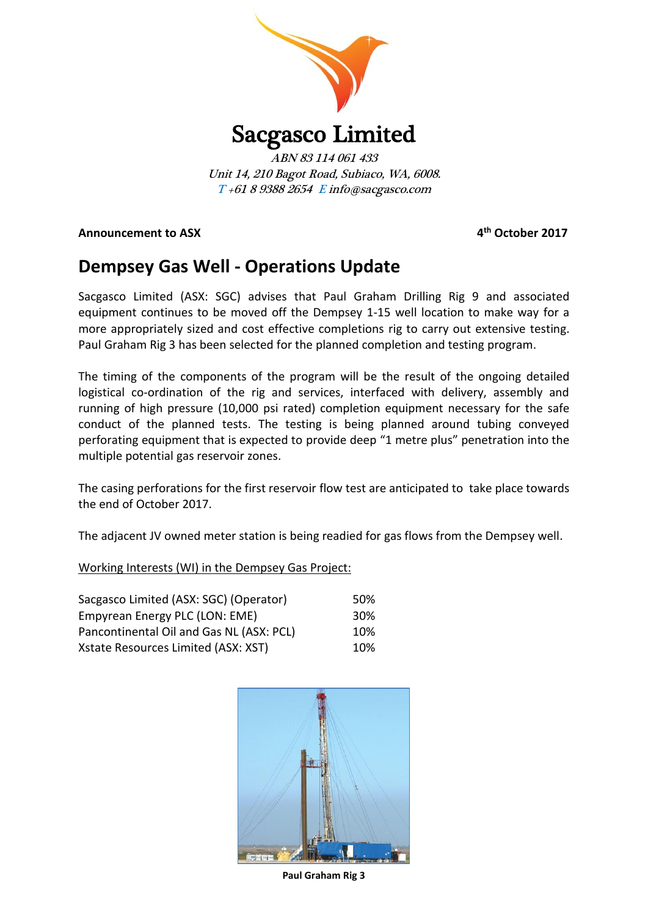

ABN 83 114 061 433 Unit 14, 210 Bagot Road, Subiaco, WA, 6008. T +61 8 9388 2654 E info@sacgasco.com

**Announcement to ASX** 

**th October 2017**

# **Dempsey Gas Well - Operations Update**

Sacgasco Limited (ASX: SGC) advises that Paul Graham Drilling Rig 9 and associated equipment continues to be moved off the Dempsey 1-15 well location to make way for a more appropriately sized and cost effective completions rig to carry out extensive testing. Paul Graham Rig 3 has been selected for the planned completion and testing program.

The timing of the components of the program will be the result of the ongoing detailed logistical co-ordination of the rig and services, interfaced with delivery, assembly and running of high pressure (10,000 psi rated) completion equipment necessary for the safe conduct of the planned tests. The testing is being planned around tubing conveyed perforating equipment that is expected to provide deep "1 metre plus" penetration into the multiple potential gas reservoir zones.

The casing perforations for the first reservoir flow test are anticipated to take place towards the end of October 2017.

The adjacent JV owned meter station is being readied for gas flows from the Dempsey well.

Working Interests (WI) in the Dempsey Gas Project:

| Sacgasco Limited (ASX: SGC) (Operator)   | 50% |
|------------------------------------------|-----|
| Empyrean Energy PLC (LON: EME)           | 30% |
| Pancontinental Oil and Gas NL (ASX: PCL) | 10% |
| Xstate Resources Limited (ASX: XST)      | 10% |



**Paul Graham Rig 3**